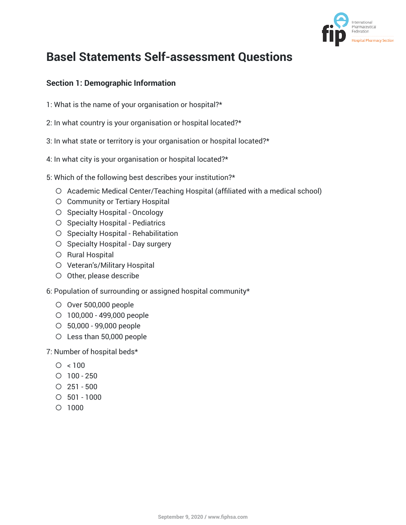

# **Basel Statements Self-assessment Questions**

# **Section 1: Demographic Information**

- 1: What is the name of your organisation or hospital?\*
- 2: In what country is your organisation or hospital located?\*
- 3: In what state or territory is your organisation or hospital located?\*
- 4: In what city is your organisation or hospital located?\*
- 5: Which of the following best describes your institution?\*
	- c Academic Medical Center/Teaching Hospital (affiliated with a medical school)
	- c Community or Tertiary Hospital
	- c Specialty Hospital Oncology
	- c Specialty Hospital Pediatrics
	- c Specialty Hospital Rehabilitation
	- c Specialty Hospital Day surgery
	- O Rural Hospital
	- c Veteran's/Military Hospital
	- O Other, please describe
- 6: Population of surrounding or assigned hospital community\*
	- c Over 500,000 people
	- c 100,000 499,000 people
	- c 50,000 99,000 people
	- c Less than 50,000 people
- 7: Number of hospital beds\*
	- $O < 100$
	- $O$  100 250
	- $O$  251 500
	- $O$  501 1000
	- c 1000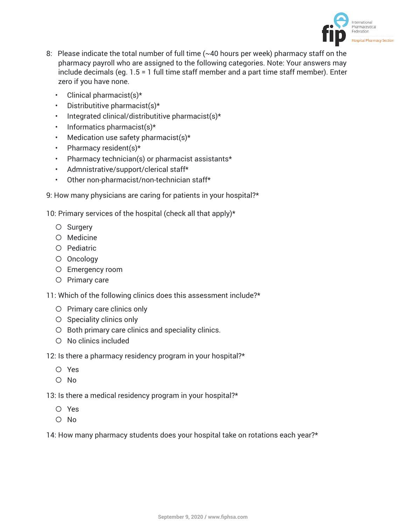

- 8: Please indicate the total number of full time (~40 hours per week) pharmacy staff on the pharmacy payroll who are assigned to the following categories. Note: Your answers may include decimals (eg. 1.5 = 1 full time staff member and a part time staff member). Enter zero if you have none.
	- Clinical pharmacist(s) $*$
	- Distributitive pharmacist(s)\*
	- Integrated clinical/distributitive pharmacist(s)\*
	- Informatics pharmacist(s)\*
	- Medication use safety pharmacist(s)\*
	- Pharmacy resident(s)\*
	- Pharmacy technician(s) or pharmacist assistants\*
	- Admnistrative/support/clerical staff\*
	- Other non-pharmacist/non-technician staff\*

9: How many physicians are caring for patients in your hospital?\*

10: Primary services of the hospital (check all that apply)\*

- O Surgery
- c Medicine
- O Pediatric
- O Oncology
- c Emergency room
- O Primary care

11: Which of the following clinics does this assessment include?\*

- O Primary care clinics only
- $\circ$  Speciality clinics only
- O Both primary care clinics and speciality clinics.
- $O$  No clinics included

12: Is there a pharmacy residency program in your hospital?\*

- c Yes
- $O$  No

13: Is there a medical residency program in your hospital?\*

- c Yes
- c No

14: How many pharmacy students does your hospital take on rotations each year?\*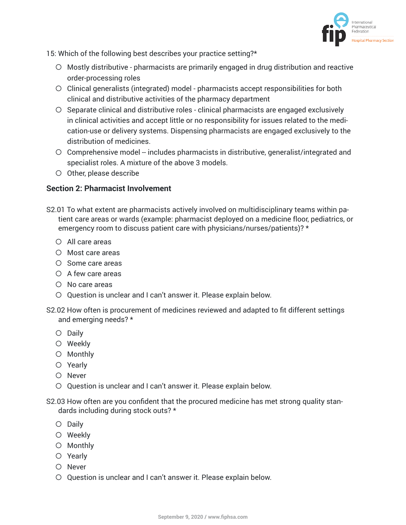

15: Which of the following best describes your practice setting?\*

- c Mostly distributive pharmacists are primarily engaged in drug distribution and reactive order-processing roles
- c Clinical generalists (integrated) model pharmacists accept responsibilities for both clinical and distributive activities of the pharmacy department
- $\circ$  Separate clinical and distributive roles clinical pharmacists are engaged exclusively in clinical activities and accept little or no responsibility for issues related to the medication-use or delivery systems. Dispensing pharmacists are engaged exclusively to the distribution of medicines.
- c Comprehensive model -- includes pharmacists in distributive, generalist/integrated and specialist roles. A mixture of the above 3 models.
- c Other, please describe

### **Section 2: Pharmacist Involvement**

- S2.01 To what extent are pharmacists actively involved on multidisciplinary teams within patient care areas or wards (example: pharmacist deployed on a medicine floor, pediatrics, or emergency room to discuss patient care with physicians/nurses/patients)? \*
	- $\bigcirc$  All care areas
	- c Most care areas
	- O Some care areas
	- $O$  A few care areas
	- c No care areas
	- c Question is unclear and I can't answer it. Please explain below.
- S2.02 How often is procurement of medicines reviewed and adapted to fit different settings and emerging needs? \*
	- c Daily
	- c Weekly
	- c Monthly
	- c Yearly
	- c Never
	- c Question is unclear and I can't answer it. Please explain below.
- S2.03 How often are you confident that the procured medicine has met strong quality standards including during stock outs? \*
	- c Daily
	- c Weekly
	- c Monthly
	- c Yearly
	- O Never
	- c Question is unclear and I can't answer it. Please explain below.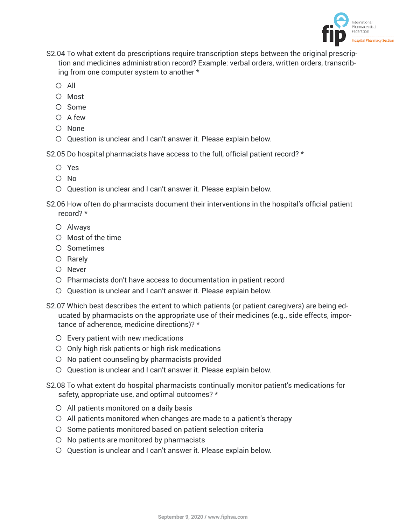

- S2.04 To what extent do prescriptions require transcription steps between the original prescription and medicines administration record? Example: verbal orders, written orders, transcribing from one computer system to another \*
	- c All
	- c Most
	- c Some
	- c A few
	- $O$  None
	- c Question is unclear and I can't answer it. Please explain below.

S2.05 Do hospital pharmacists have access to the full, official patient record? \*

- c Yes
- c No
- c Question is unclear and I can't answer it. Please explain below.
- S2.06 How often do pharmacists document their interventions in the hospital's official patient record? \*
	- c Always
	- c Most of the time
	- c Sometimes
	- O Rarely
	- c Never
	- c Pharmacists don't have access to documentation in patient record
	- c Question is unclear and I can't answer it. Please explain below.
- S2.07 Which best describes the extent to which patients (or patient caregivers) are being educated by pharmacists on the appropriate use of their medicines (e.g., side effects, importance of adherence, medicine directions)? \*
	- $\circ$  Every patient with new medications
	- $\circ$  Only high risk patients or high risk medications
	- $\circ$  No patient counseling by pharmacists provided
	- c Question is unclear and I can't answer it. Please explain below.

## S2.08 To what extent do hospital pharmacists continually monitor patient's medications for safety, appropriate use, and optimal outcomes? \*

- $\circ$  All patients monitored on a daily basis
- $\circ$  All patients monitored when changes are made to a patient's therapy
- c Some patients monitored based on patient selection criteria
- $\circ$  No patients are monitored by pharmacists
- c Question is unclear and I can't answer it. Please explain below.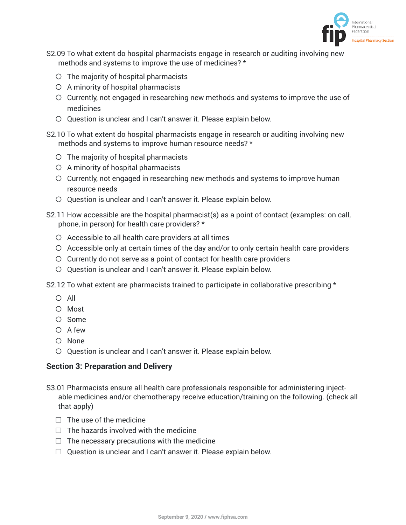

- S2.09 To what extent do hospital pharmacists engage in research or auditing involving new methods and systems to improve the use of medicines? \*
	- $\circ$  The majority of hospital pharmacists
	- c A minority of hospital pharmacists
	- c Currently, not engaged in researching new methods and systems to improve the use of medicines
	- c Question is unclear and I can't answer it. Please explain below.
- S2.10 To what extent do hospital pharmacists engage in research or auditing involving new methods and systems to improve human resource needs? \*
	- $\circ$  The majority of hospital pharmacists
	- $\circ$  A minority of hospital pharmacists
	- c Currently, not engaged in researching new methods and systems to improve human resource needs
	- c Question is unclear and I can't answer it. Please explain below.
- S2.11 How accessible are the hospital pharmacist(s) as a point of contact (examples: on call, phone, in person) for health care providers? \*
	- c Accessible to all health care providers at all times
	- $\circ$  Accessible only at certain times of the day and/or to only certain health care providers
	- $\circ$  Currently do not serve as a point of contact for health care providers
	- c Question is unclear and I can't answer it. Please explain below.
- S2.12 To what extent are pharmacists trained to participate in collaborative prescribing \*
	- c All
	- c Most
	- c Some
	- $O$  A few
	- c None
	- c Question is unclear and I can't answer it. Please explain below.

#### **Section 3: Preparation and Delivery**

- S3.01 Pharmacists ensure all health care professionals responsible for administering injectable medicines and/or chemotherapy receive education/training on the following. (check all that apply)
	- $\Box$  The use of the medicine
	- $\Box$  The hazards involved with the medicine
	- $\Box$  The necessary precautions with the medicine
	- $\Box$  Question is unclear and I can't answer it. Please explain below.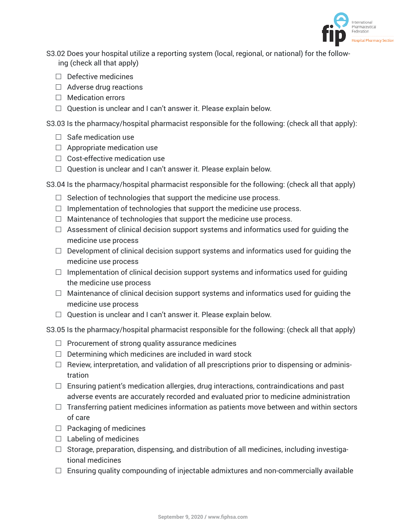

- S3.02 Does your hospital utilize a reporting system (local, regional, or national) for the following (check all that apply)
	- $\Box$  Defective medicines
	- $\Box$  Adverse drug reactions
	- $\Box$  Medication errors
	- $\Box$  Question is unclear and I can't answer it. Please explain below.

S3.03 Is the pharmacy/hospital pharmacist responsible for the following: (check all that apply):

- $\Box$  Safe medication use
- $\Box$  Appropriate medication use
- $\Box$  Cost-effective medication use
- $\Box$  Question is unclear and I can't answer it. Please explain below.

S3.04 Is the pharmacy/hospital pharmacist responsible for the following: (check all that apply)

- $\Box$  Selection of technologies that support the medicine use process.
- $\Box$  Implementation of technologies that support the medicine use process.
- $\Box$  Maintenance of technologies that support the medicine use process.
- $\Box$  Assessment of clinical decision support systems and informatics used for quiding the medicine use process
- $\Box$  Development of clinical decision support systems and informatics used for guiding the medicine use process
- $\Box$  Implementation of clinical decision support systems and informatics used for guiding the medicine use process
- $\Box$  Maintenance of clinical decision support systems and informatics used for quiding the medicine use process
- $\Box$  Question is unclear and I can't answer it. Please explain below.

S3.05 Is the pharmacy/hospital pharmacist responsible for the following: (check all that apply)

- $\Box$  Procurement of strong quality assurance medicines
- $\Box$  Determining which medicines are included in ward stock
- $\Box$  Review, interpretation, and validation of all prescriptions prior to dispensing or administration
- $\Box$  Ensuring patient's medication allergies, drug interactions, contraindications and past adverse events are accurately recorded and evaluated prior to medicine administration
- $\Box$  Transferring patient medicines information as patients move between and within sectors of care
- $\Box$  Packaging of medicines
- $\Box$  Labeling of medicines
- $\Box$  Storage, preparation, dispensing, and distribution of all medicines, including investigational medicines
- $\Box$  Ensuring quality compounding of injectable admixtures and non-commercially available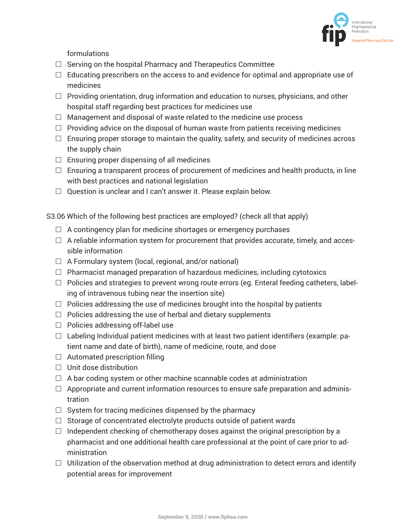

formulations

- $\Box$  Serving on the hospital Pharmacy and Therapeutics Committee
- $\Box$  Educating prescribers on the access to and evidence for optimal and appropriate use of medicines
- $\Box$  Providing orientation, drug information and education to nurses, physicians, and other hospital staff regarding best practices for medicines use
- $\Box$  Management and disposal of waste related to the medicine use process
- $\Box$  Providing advice on the disposal of human waste from patients receiving medicines
- $\Box$  Ensuring proper storage to maintain the quality, safety, and security of medicines across the supply chain
- $\Box$  Ensuring proper dispensing of all medicines
- $\Box$  Ensuring a transparent process of procurement of medicines and health products, in line with best practices and national legislation
- $\Box$  Question is unclear and I can't answer it. Please explain below.

S3.06 Which of the following best practices are employed? (check all that apply)

- $\Box$  A contingency plan for medicine shortages or emergency purchases
- $\Box$  A reliable information system for procurement that provides accurate, timely, and accessible information
- $\Box$  A Formulary system (local, regional, and/or national)
- $\Box$  Pharmacist managed preparation of hazardous medicines, including cytotoxics
- $\Box$  Policies and strategies to prevent wrong route errors (eg. Enteral feeding catheters, labeling of intravenous tubing near the insertion site)
- $\Box$  Policies addressing the use of medicines brought into the hospital by patients
- $\Box$  Policies addressing the use of herbal and dietary supplements
- $\Box$  Policies addressing off-label use
- $\Box$  Labeling Individual patient medicines with at least two patient identifiers (example: patient name and date of birth), name of medicine, route, and dose
- $\Box$  Automated prescription filling
- $\Box$  Unit dose distribution
- $\Box$  A bar coding system or other machine scannable codes at administration
- $\Box$  Appropriate and current information resources to ensure safe preparation and administration
- $\Box$  System for tracing medicines dispensed by the pharmacy
- $\Box$  Storage of concentrated electrolyte products outside of patient wards
- $\Box$  Independent checking of chemotherapy doses against the original prescription by a pharmacist and one additional health care professional at the point of care prior to administration
- $\Box$  Utilization of the observation method at drug administration to detect errors and identify potential areas for improvement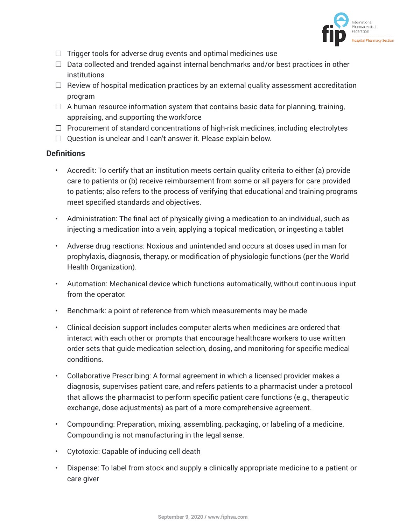

- $\Box$  Trigger tools for adverse drug events and optimal medicines use
- $\Box$  Data collected and trended against internal benchmarks and/or best practices in other institutions
- $\Box$  Review of hospital medication practices by an external quality assessment accreditation program
- $\Box$  A human resource information system that contains basic data for planning, training, appraising, and supporting the workforce
- $\Box$  Procurement of standard concentrations of high-risk medicines, including electrolytes
- $\Box$  Question is unclear and I can't answer it. Please explain below.

### **Definitions**

- Accredit: To certify that an institution meets certain quality criteria to either (a) provide care to patients or (b) receive reimbursement from some or all payers for care provided to patients; also refers to the process of verifying that educational and training programs meet specified standards and objectives.
- Administration: The final act of physically giving a medication to an individual, such as injecting a medication into a vein, applying a topical medication, or ingesting a tablet
- Adverse drug reactions: Noxious and unintended and occurs at doses used in man for prophylaxis, diagnosis, therapy, or modification of physiologic functions (per the World Health Organization).
- Automation: Mechanical device which functions automatically, without continuous input from the operator.
- Benchmark: a point of reference from which measurements may be made
- Clinical decision support includes computer alerts when medicines are ordered that interact with each other or prompts that encourage healthcare workers to use written order sets that guide medication selection, dosing, and monitoring for specific medical conditions.
- Collaborative Prescribing: A formal agreement in which a licensed provider makes a diagnosis, supervises patient care, and refers patients to a pharmacist under a protocol that allows the pharmacist to perform specific patient care functions (e.g., therapeutic exchange, dose adjustments) as part of a more comprehensive agreement.
- Compounding: Preparation, mixing, assembling, packaging, or labeling of a medicine. Compounding is not manufacturing in the legal sense.
- Cytotoxic: Capable of inducing cell death
- Dispense: To label from stock and supply a clinically appropriate medicine to a patient or care giver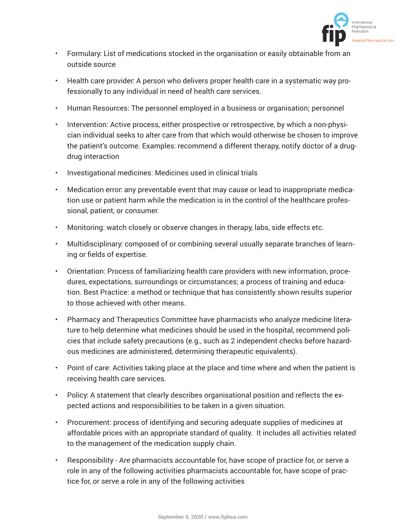

- Formulary: List of medications stocked in the organisation or easily obtainable from an outside source
- Health care provider: A person who delivers proper health care in a systematic way professionally to any individual in need of health care services.
- Human Resources: The personnel employed in a business or organisation; personnel
- Intervention: Active process, either prospective or retrospective, by which a non-physician individual seeks to alter care from that which would otherwise be chosen to improve the patient's outcome. Examples: recommend a different therapy, notify doctor of a drugdrug interaction
- Investigational medicines: Medicines used in clinical trials
- Medication error: any preventable event that may cause or lead to inappropriate medication use or patient harm while the medication is in the control of the healthcare professional, patient, or consumer.
- Monitoring: watch closely or observe changes in therapy, labs, side effects etc.
- Multidisciplinary: composed of or combining several usually separate branches of learning or fields of expertise.
- Orientation: Process of familiarizing health care providers with new information, procedures, expectations, surroundings or circumstances; a process of training and education. Best Practice: a method or technique that has consistently shown results superior to those achieved with other means.
- Pharmacy and Therapeutics Committee have pharmacists who analyze medicine literature to help determine what medicines should be used in the hospital, recommend policies that include safety precautions (e.g., such as 2 independent checks before hazardous medicines are administered, determining therapeutic equivalents).
- Point of care: Activities taking place at the place and time where and when the patient is receiving health care services.
- Policy: A statement that clearly describes organisational position and reflects the expected actions and responsibilities to be taken in a given situation.
- Procurement: process of identifying and securing adequate supplies of medicines at affordable prices with an appropriate standard of quality. It includes all activities related to the management of the medication supply chain.
- Responsibility Are pharmacists accountable for, have scope of practice for, or serve a role in any of the following activities pharmacists accountable for, have scope of practice for, or serve a role in any of the following activities